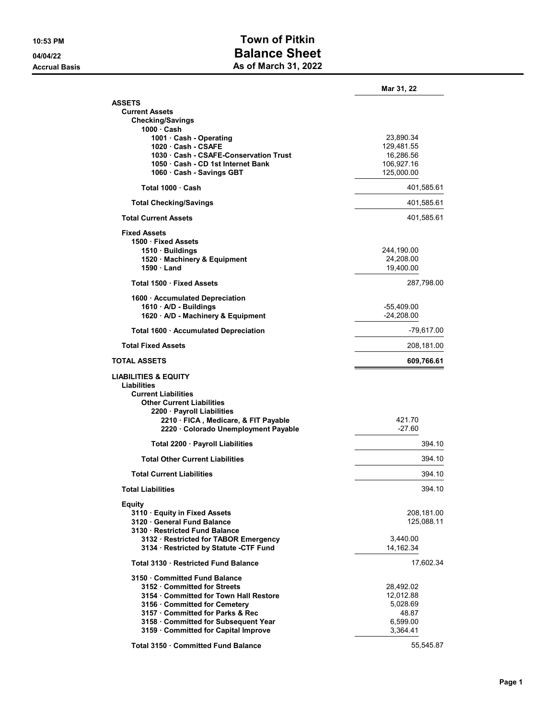## 10:53 PM Town of Pitkin 04/04/22 Balance Sheet Accrual Basis **As of March 31, 2022**

|                                                       | Mar 31, 22   |
|-------------------------------------------------------|--------------|
| ASSETS                                                |              |
| <b>Current Assets</b>                                 |              |
| <b>Checking/Savings</b><br>1000 · Cash                |              |
| 1001 · Cash - Operating                               | 23,890.34    |
| 1020 Cash - CSAFE                                     | 129,481.55   |
| 1030 Cash - CSAFE-Conservation Trust                  | 16,286.56    |
| 1050 Cash - CD 1st Internet Bank                      | 106,927.16   |
| 1060 · Cash - Savings GBT                             | 125,000.00   |
| Total 1000 Cash                                       | 401,585.61   |
| <b>Total Checking/Savings</b>                         | 401,585.61   |
| <b>Total Current Assets</b>                           | 401,585.61   |
| <b>Fixed Assets</b>                                   |              |
| 1500 Fixed Assets                                     |              |
| 1510 · Buildings                                      | 244,190.00   |
| 1520 · Machinery & Equipment                          | 24,208.00    |
| 1590 Land                                             | 19,400.00    |
| Total 1500 · Fixed Assets                             | 287,798.00   |
| 1600 · Accumulated Depreciation                       |              |
| 1610 A/D - Buildings                                  | -55,409.00   |
| 1620 · A/D - Machinery & Equipment                    | $-24,208.00$ |
| Total 1600 · Accumulated Depreciation                 | -79,617.00   |
| <b>Total Fixed Assets</b>                             | 208,181.00   |
| TOTAL ASSETS                                          | 609,766.61   |
| <b>LIABILITIES &amp; EQUITY</b><br><b>Liabilities</b> |              |
| <b>Current Liabilities</b>                            |              |
| <b>Other Current Liabilities</b>                      |              |
| 2200 · Payroll Liabilities                            |              |
| 2210 FICA, Medicare, & FIT Payable                    | 421.70       |
| 2220 · Colorado Unemployment Payable                  | $-27.60$     |
| Total 2200 · Payroll Liabilities                      | 394.10       |
| <b>Total Other Current Liabilities</b>                | 394.10       |
| <b>Total Current Liabilities</b>                      | 394.10       |
| <b>Total Liabilities</b>                              | 394.10       |
| <b>Equity</b>                                         |              |
| 3110 · Equity in Fixed Assets                         | 208,181.00   |
| 3120 General Fund Balance                             | 125,088.11   |
| 3130 · Restricted Fund Balance                        |              |
| 3132 · Restricted for TABOR Emergency                 | 3,440.00     |
| 3134 · Restricted by Statute -CTF Fund                | 14,162.34    |
| Total 3130 · Restricted Fund Balance                  | 17,602.34    |
| 3150 Committed Fund Balance                           |              |
| 3152 Committed for Streets                            | 28,492.02    |
| 3154 Committed for Town Hall Restore                  | 12,012.88    |
| 3156 · Committed for Cemetery                         | 5,028.69     |
| 3157 · Committed for Parks & Rec                      | 48.87        |
| 3158 Committed for Subsequent Year                    | 6,599.00     |
| 3159 Committed for Capital Improve                    | 3,364.41     |
|                                                       |              |
| Total 3150 Committed Fund Balance                     | 55,545.87    |